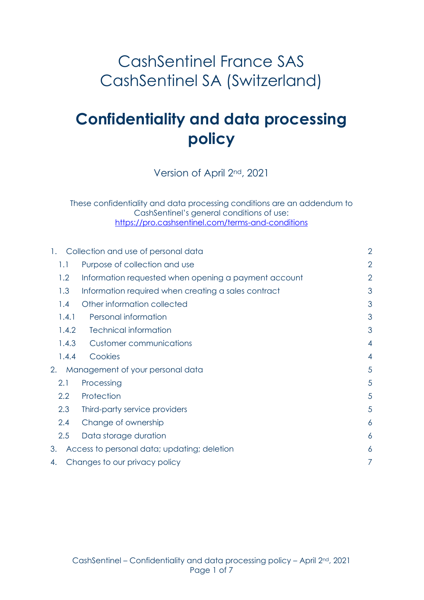## CashSentinel France SAS CashSentinel SA (Switzerland)

# **Confidentiality and data processing policy**

Version of April 2nd, 2021

These confidentiality and data processing conditions are an addendum to CashSentinel's general conditions of use: <https://pro.cashsentinel.com/terms-and-conditions>

| Collection and use of personal data<br>$\mathbf{1}$ . |                                                      | $\overline{2}$  |
|-------------------------------------------------------|------------------------------------------------------|-----------------|
| 1.1                                                   | Purpose of collection and use                        | $\overline{2}$  |
| 1.2                                                   | Information requested when opening a payment account | $\overline{2}$  |
| 1.3                                                   | Information required when creating a sales contract  | 3               |
| 1.4                                                   | Other information collected                          | 3               |
| 1.4.1                                                 | Personal information                                 | 3               |
| 1.4.2                                                 | <b>Technical information</b>                         | 3               |
| 1.4.3                                                 | Customer communications                              | 4               |
| 1.4.4                                                 | Cookies                                              | $\overline{4}$  |
| Management of your personal data<br>2.                |                                                      | 5               |
| 2.1                                                   | Processing                                           | 5               |
| 2.2                                                   | Protection                                           | 5               |
| 2.3                                                   | Third-party service providers                        | 5               |
| 2.4                                                   | Change of ownership                                  | 6               |
| 2.5                                                   | Data storage duration                                | $\ddot{\delta}$ |
| 3.<br>Access to personal data; updating; deletion     |                                                      | 6               |
| Changes to our privacy policy<br>4.                   |                                                      | 7               |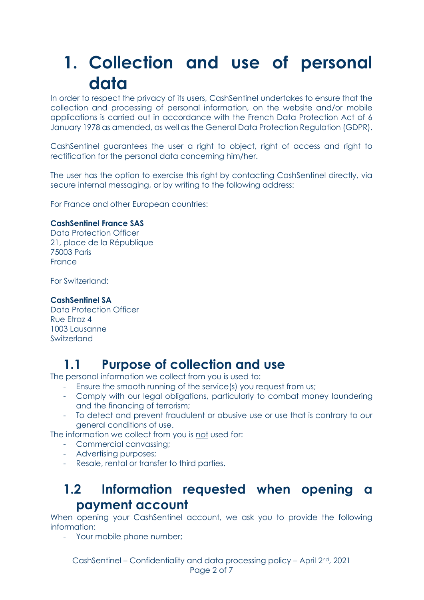# <span id="page-1-0"></span>**1. Collection and use of personal data**

In order to respect the privacy of its users, CashSentinel undertakes to ensure that the collection and processing of personal information, on the website and/or mobile applications is carried out in accordance with the French Data Protection Act of 6 January 1978 as amended, as well as the General Data Protection Regulation (GDPR).

CashSentinel guarantees the user a right to object, right of access and right to rectification for the personal data concerning him/her.

The user has the option to exercise this right by contacting CashSentinel directly, via secure internal messaging, or by writing to the following address:

For France and other European countries:

#### **CashSentinel France SAS**

Data Protection Officer 21, place de la République 75003 Paris France

For Switzerland:

#### **CashSentinel SA**

Data Protection Officer Rue Etraz 4 1003 Lausanne Switzerland

### <span id="page-1-1"></span>**1.1 Purpose of collection and use**

The personal information we collect from you is used to:

- Ensure the smooth running of the service(s) you request from us;
- Comply with our legal obligations, particularly to combat money laundering and the financing of terrorism;
- To detect and prevent fraudulent or abusive use or use that is contrary to our general conditions of use.

The information we collect from you is not used for:

- Commercial canvassing;
- Advertising purposes;
- <span id="page-1-2"></span>- Resale, rental or transfer to third parties.

### **1.2 Information requested when opening a payment account**

When opening your CashSentinel account, we ask you to provide the following information:

- Your mobile phone number;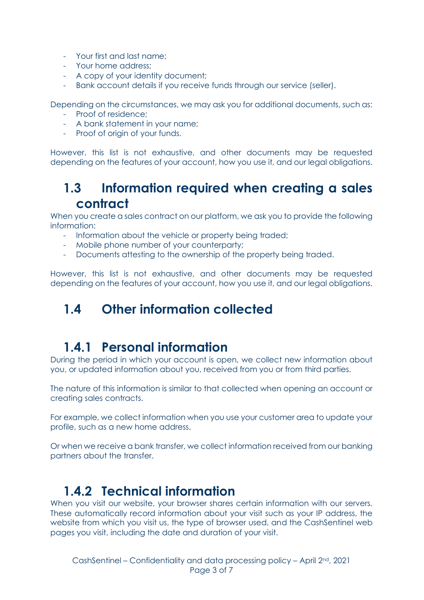- Your first and last name;
- Your home address;
- A copy of your identity document;
- Bank account details if you receive funds through our service (seller).

Depending on the circumstances, we may ask you for additional documents, such as:

- Proof of residence;
- A bank statement in your name;
- Proof of origin of your funds.

<span id="page-2-0"></span>However, this list is not exhaustive, and other documents may be requested depending on the features of your account, how you use it, and our legal obligations.

### **1.3 Information required when creating a sales contract**

When you create a sales contract on our platform, we ask you to provide the following information:

- Information about the vehicle or property being traded;
- Mobile phone number of your counterparty;
- Documents attesting to the ownership of the property being traded.

<span id="page-2-1"></span>However, this list is not exhaustive, and other documents may be requested depending on the features of your account, how you use it, and our legal obligations.

## **1.4 Other information collected**

## <span id="page-2-2"></span>**1.4.1 Personal information**

During the period in which your account is open, we collect new information about you, or updated information about you, received from you or from third parties.

The nature of this information is similar to that collected when opening an account or creating sales contracts.

For example, we collect information when you use your customer area to update your profile, such as a new home address.

Or when we receive a bank transfer, we collect information received from our banking partners about the transfer.

### <span id="page-2-3"></span>**1.4.2 Technical information**

When you visit our website, your browser shares certain information with our servers. These automatically record information about your visit such as your IP address, the website from which you visit us, the type of browser used, and the CashSentinel web pages you visit, including the date and duration of your visit.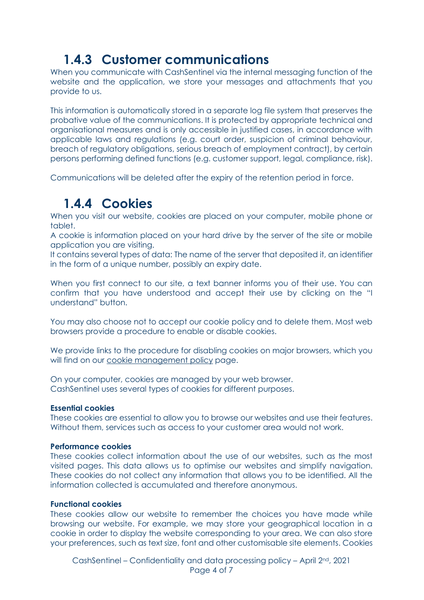## <span id="page-3-0"></span>**1.4.3 Customer communications**

When you communicate with CashSentinel via the internal messaging function of the website and the application, we store your messages and attachments that you provide to us.

This information is automatically stored in a separate log file system that preserves the probative value of the communications. It is protected by appropriate technical and organisational measures and is only accessible in justified cases, in accordance with applicable laws and regulations (e.g. court order, suspicion of criminal behaviour, breach of regulatory obligations, serious breach of employment contract), by certain persons performing defined functions (e.g. customer support, legal, compliance, risk).

<span id="page-3-1"></span>Communications will be deleted after the expiry of the retention period in force.

## **1.4.4 Cookies**

When you visit our website, cookies are placed on your computer, mobile phone or tablet.

A cookie is information placed on your hard drive by the server of the site or mobile application you are visiting.

It contains several types of data: The name of the server that deposited it, an identifier in the form of a unique number, possibly an expiry date.

When you first connect to our site, a text banner informs you of their use. You can confirm that you have understood and accept their use by clicking on the "I understand" button.

You may also choose not to accept our cookie policy and to delete them. Most web browsers provide a procedure to enable or disable cookies.

We provide links to the procedure for disabling cookies on major browsers, which you will find on our [cookie management policy](https://www.cashsentinel.com/fr-FR/content/politique-de-gestion-des-cookies-et-des-donnees) page.

On your computer, cookies are managed by your web browser. CashSentinel uses several types of cookies for different purposes.

#### **Essential cookies**

These cookies are essential to allow you to browse our websites and use their features. Without them, services such as access to your customer area would not work.

#### **Performance cookies**

These cookies collect information about the use of our websites, such as the most visited pages. This data allows us to optimise our websites and simplify navigation. These cookies do not collect any information that allows you to be identified. All the information collected is accumulated and therefore anonymous.

#### **Functional cookies**

These cookies allow our website to remember the choices you have made while browsing our website. For example, we may store your geographical location in a cookie in order to display the website corresponding to your area. We can also store your preferences, such as text size, font and other customisable site elements. Cookies

CashSentinel – Confidentiality and data processing policy – April 2nd, 2021 Page 4 of 7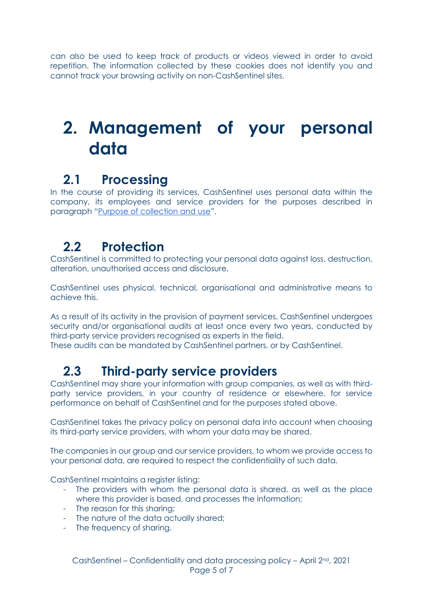can also be used to keep track of products or videos viewed in order to avoid repetition. The information collected by these cookies does not identify you and cannot track your browsing activity on non-CashSentinel sites.

# <span id="page-4-0"></span>**2. Management of your personal data**

## <span id="page-4-1"></span>**2.1 Processing**

In the course of providing its services, CashSentinel uses personal data within the company, its employees and service providers for the purposes described in paragraph "Purpose of collection and use".

## <span id="page-4-2"></span>**2.2 Protection**

CashSentinel is committed to protecting your personal data against loss, destruction, alteration, unauthorised access and disclosure.

CashSentinel uses physical, technical, organisational and administrative means to achieve this.

As a result of its activity in the provision of payment services, CashSentinel undergoes security and/or organisational audits at least once every two years, conducted by third-party service providers recognised as experts in the field.

<span id="page-4-3"></span>These audits can be mandated by CashSentinel partners, or by CashSentinel.

## **2.3 Third-party service providers**

CashSentinel may share your information with group companies, as well as with thirdparty service providers, in your country of residence or elsewhere, for service performance on behalf of CashSentinel and for the purposes stated above.

CashSentinel takes the privacy policy on personal data into account when choosing its third-party service providers, with whom your data may be shared.

The companies in our group and our service providers, to whom we provide access to your personal data, are required to respect the confidentiality of such data.

CashSentinel maintains a reaister listing:

- The providers with whom the personal data is shared, as well as the place where this provider is based, and processes the information;
- The reason for this sharing;
- The nature of the data actually shared;
- The frequency of sharing.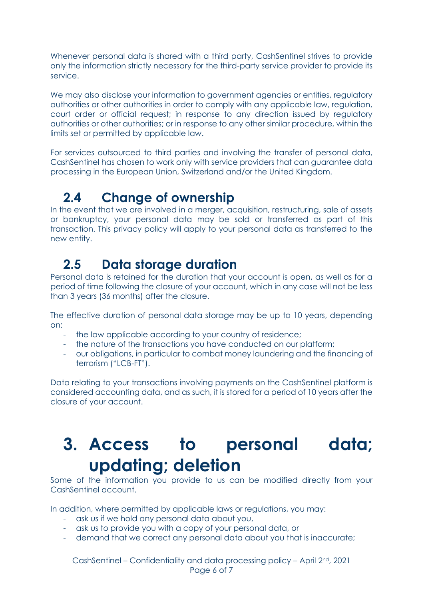Whenever personal data is shared with a third party, CashSentinel strives to provide only the information strictly necessary for the third-party service provider to provide its service.

We may also disclose your information to government agencies or entities, regulatory authorities or other authorities in order to comply with any applicable law, regulation, court order or official request; in response to any direction issued by regulatory authorities or other authorities; or in response to any other similar procedure, within the limits set or permitted by applicable law.

For services outsourced to third parties and involving the transfer of personal data, CashSentinel has chosen to work only with service providers that can guarantee data processing in the European Union, Switzerland and/or the United Kingdom.

### <span id="page-5-0"></span>**2.4 Change of ownership**

In the event that we are involved in a merger, acquisition, restructuring, sale of assets or bankruptcy, your personal data may be sold or transferred as part of this transaction. This privacy policy will apply to your personal data as transferred to the new entity.

### <span id="page-5-1"></span>**2.5 Data storage duration**

Personal data is retained for the duration that your account is open, as well as for a period of time following the closure of your account, which in any case will not be less than 3 years (36 months) after the closure.

The effective duration of personal data storage may be up to 10 years, depending on:

- the law applicable according to your country of residence;
- the nature of the transactions you have conducted on our platform;
- our obligations, in particular to combat money laundering and the financing of terrorism ("LCB-FT").

Data relating to your transactions involving payments on the CashSentinel platform is considered accounting data, and as such, it is stored for a period of 10 years after the closure of your account.

# <span id="page-5-2"></span>**3. Access to personal data; updating; deletion**

Some of the information you provide to us can be modified directly from your CashSentinel account.

In addition, where permitted by applicable laws or regulations, you may:

- ask us if we hold any personal data about you,
- ask us to provide you with a copy of your personal data, or
- demand that we correct any personal data about you that is inaccurate;

CashSentinel – Confidentiality and data processing policy – April 2nd, 2021 Page 6 of 7